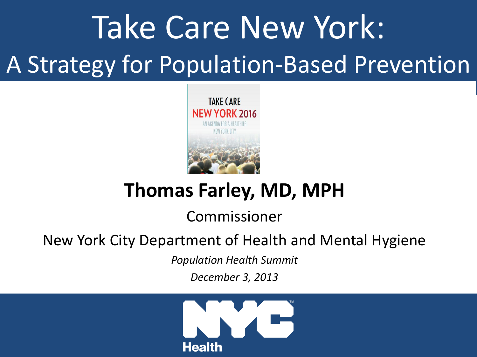# Take Care New York: A Strategy for Population-Based Prevention



#### **Thomas Farley, MD, MPH**

#### Commissioner

#### Commissioner New York City Department of Health and Mental Hygiene New York City Department of Health and Mental Hygiene

*Population Health Summit*

*December 3, 2013*

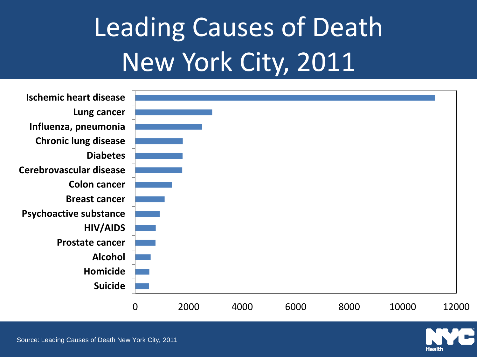# Leading Causes of Death New York City, 2011



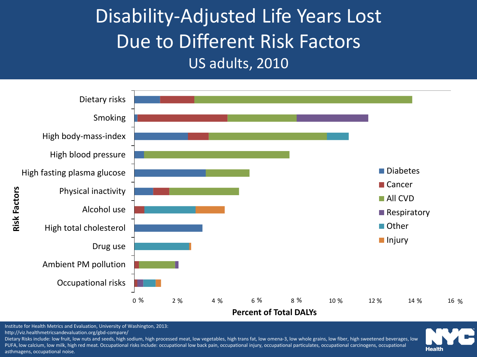Disability-Adjusted Life Years Lost Due to Different Risk Factors US adults, 2010



Institute for Health Metrics and Evaluation, University of Washington, 2013:

http://viz.healthmetricsandevaluation.org/gbd-compare/

Dietary Risks include: low fruit, low nuts and seeds, high sodium, high processed meat, low vegetables, high trans fat, low omena-3, low whole grains, low fiber, high sweetened beverages, low PUFA, low calcium, low milk, high red meat. Occupational risks include: occupational low back pain, occupational injury, occupational particulates, occupational carcinogens, occupational asthmagens, occupational noise.

**Health**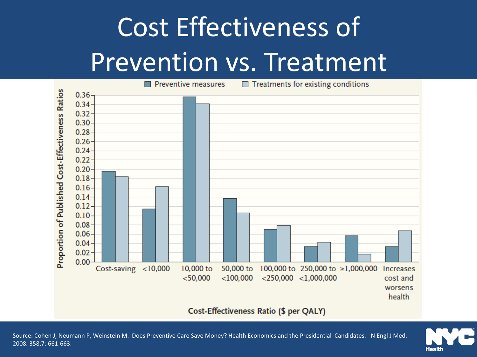# Cost Effectiveness of Prevention vs. Treatment



#### **Cost-Effectiveness Ratio (\$ per QALY)**

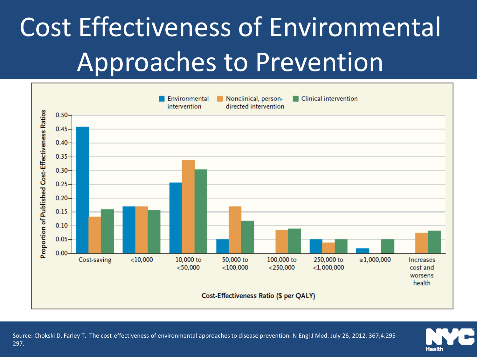# Cost Effectiveness of Environmental Approaches to Prevention



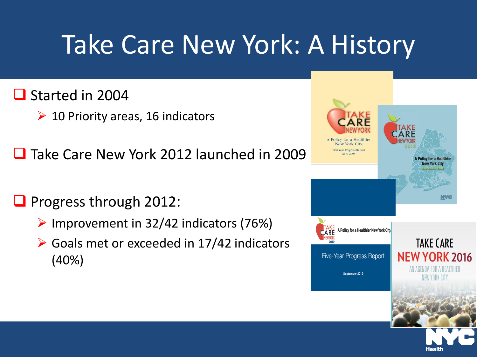## Take Care New York: A History

#### Started in 2004

- $\geq 10$  Priority areas, 16 indicators
- **□** Take Care New York 2012 launched in 2009

#### $\Box$  Progress through 2012:

- $\triangleright$  Improvement in 32/42 indicators (76%)
- $\triangleright$  Goals met or exceeded in 17/42 indicators (40%)

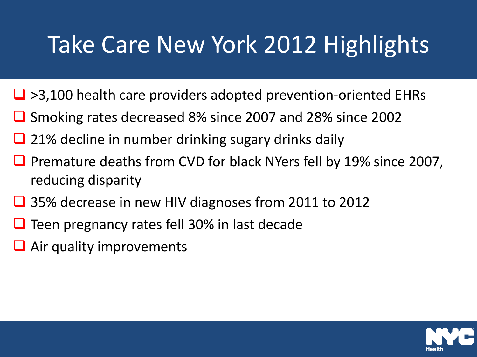### Take Care New York 2012 Highlights

- $\Box$  >3,100 health care providers adopted prevention-oriented EHRs
- Smoking rates decreased 8% since 2007 and 28% since 2002
- 21% decline in number drinking sugary drinks daily
- **P** Premature deaths from CVD for black NYers fell by 19% since 2007, reducing disparity
- **□** 35% decrease in new HIV diagnoses from 2011 to 2012
- $\Box$  Teen pregnancy rates fell 30% in last decade
- **Air quality improvements**

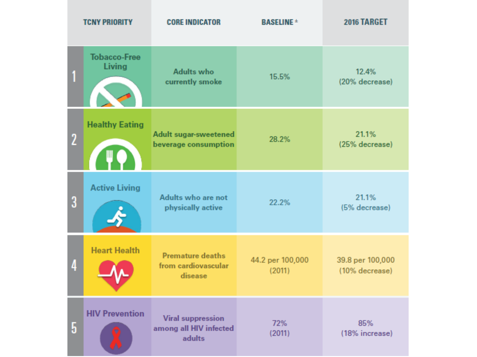| <b>TCNY PRIORITY</b> |                               | <b>CORE INDICATOR</b>                                        | <b>BASELINE *</b>          | 2016 TARGET                        |
|----------------------|-------------------------------|--------------------------------------------------------------|----------------------------|------------------------------------|
|                      | <b>Tobacco-Free</b><br>Living | <b>Adults who</b><br>currently smoke                         | 15.5%                      | 12.4%<br>(20% decrease)            |
| $\overline{2}$       | <b>Healthy Eating</b><br>Ш    | Adult sugar-sweetened<br>beverage consumption                | 28.2%                      | 21.1%<br>(25% decrease)            |
| 3                    | <b>Active Living</b>          | Adults who are not<br>physically active                      | 22.2%                      | 21.1%<br>(5% decrease)             |
| 4                    | <b>Heart Health</b>           | <b>Premature deaths</b><br>from cardiovascular<br>disease    | 44.2 per 100,000<br>(2011) | 39.8 per 100,000<br>(10% decrease) |
| 5                    | <b>HIV Prevention</b>         | <b>Viral suppression</b><br>among all HIV infected<br>adults | 72%<br>(2011)              | 85%<br>(18% increase)              |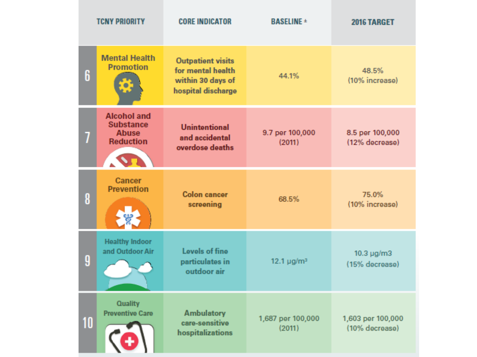| <b>TCNY PRIORITY</b> |                                                                                            | <b>CORE INDICATOR</b>                                                                    | <b>BASELINE ±</b>           | 2016 TARGET                         |
|----------------------|--------------------------------------------------------------------------------------------|------------------------------------------------------------------------------------------|-----------------------------|-------------------------------------|
| 6                    | <b>Mental Health</b><br><b>Promotion</b>                                                   | <b>Outpatient visits</b><br>for mental health<br>within 30 days of<br>hospital discharge | 44.1%                       | 48.5%<br>(10% increase)             |
| 7                    | <b>Alcohol and</b><br><b>Substance</b><br><b>Abuse</b><br><b>Reduction</b><br>$\mathbf{v}$ | <b>Unintentional</b><br>and accidental<br>overdose deaths                                | 9.7 per 100,000<br>(2011)   | 8.5 per 100,000<br>(12% decrease)   |
| 8                    | Cancer<br><b>Prevention</b>                                                                | <b>Colon</b> cancer<br>screening                                                         | 68.5%                       | 75.0%<br>(10% increase)             |
| 9                    | <b>Healthy Indoor</b><br>and Outdoor Air                                                   | Levels of fine<br>particulates in<br>outdoor air                                         | 12.1 $\mu$ g/m <sup>3</sup> | $10.3 \mu g/m3$<br>(15% decrease)   |
| 10                   | <b>Quality</b><br><b>Preventive Care</b>                                                   | <b>Ambulatory</b><br>care-sensitive<br>hospitalizations                                  | 1,687 per 100,000<br>(2011) | 1,603 per 100,000<br>(10% decrease) |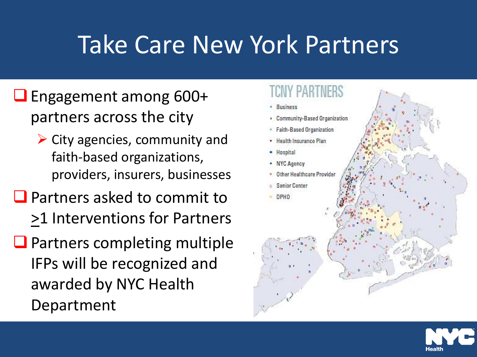### Take Care New York Partners

- Engagement among 600+ partners across the city
	- $\triangleright$  City agencies, community and faith-based organizations, providers, insurers, businesses
- **Q** Partners asked to commit to >1 Interventions for Partners
- $\Box$  Partners completing multiple IFPs will be recognized and awarded by NYC Health Department

### Community-Based Organization Faith-Based Organization Health insurance Plan - Hospital • NYC Agency Other Healthcare Provider **Senior Center DPHO**

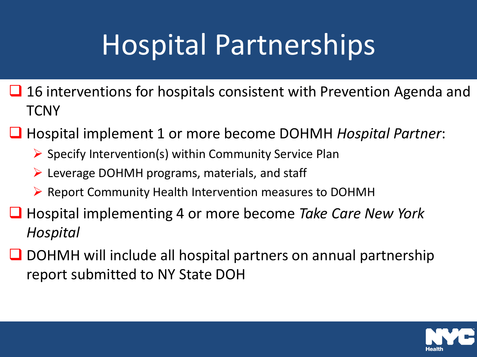# Hospital Partnerships

- $\Box$  16 interventions for hospitals consistent with Prevention Agenda and **TCNY**
- Hospital implement 1 or more become DOHMH *Hospital Partner*:
	- $\triangleright$  Specify Intervention(s) within Community Service Plan
	- $\triangleright$  Leverage DOHMH programs, materials, and staff
	- $\triangleright$  Report Community Health Intervention measures to DOHMH
- Hospital implementing 4 or more become *Take Care New York Hospital*
- $\Box$  DOHMH will include all hospital partners on annual partnership report submitted to NY State DOH

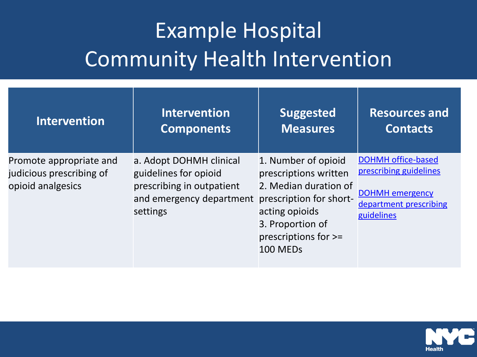#### Example Hospital Community Health Intervention

| <b>Intervention</b>                                                      | <b>Intervention</b>                                                                                                   | <b>Suggested</b>                                                                                                                                                           | <b>Resources and</b>                                                                                                  |
|--------------------------------------------------------------------------|-----------------------------------------------------------------------------------------------------------------------|----------------------------------------------------------------------------------------------------------------------------------------------------------------------------|-----------------------------------------------------------------------------------------------------------------------|
|                                                                          | <b>Components</b>                                                                                                     | <b>Measures</b>                                                                                                                                                            | <b>Contacts</b>                                                                                                       |
| Promote appropriate and<br>judicious prescribing of<br>opioid analgesics | a. Adopt DOHMH clinical<br>guidelines for opioid<br>prescribing in outpatient<br>and emergency department<br>settings | 1. Number of opioid<br>prescriptions written<br>2. Median duration of<br>prescription for short-<br>acting opioids<br>3. Proportion of<br>prescriptions for >=<br>100 MEDs | <b>DOHMH office-based</b><br>prescribing guidelines<br><b>DOHMH</b> emergency<br>department prescribing<br>guidelines |

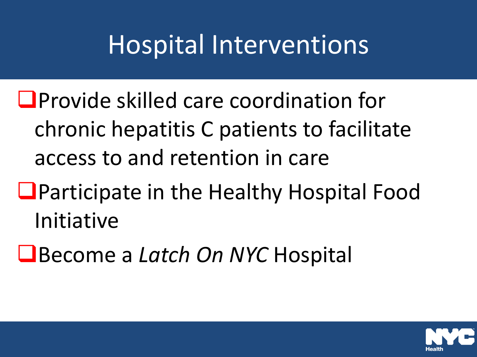## Hospital Interventions

- **O**Provide skilled care coordination for chronic hepatitis C patients to facilitate access to and retention in care
- **L** Participate in the Healthy Hospital Food Initiative
- Become a *Latch On NYC* Hospital

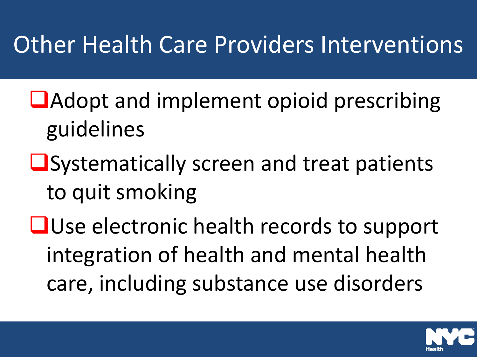### Other Health Care Providers Interventions

- **L**Adopt and implement opioid prescribing guidelines
- **L**Systematically screen and treat patients to quit smoking
- **QUse electronic health records to support** integration of health and mental health care, including substance use disorders

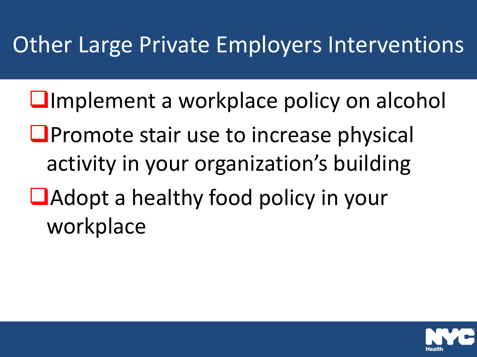#### Other Large Private Employers Interventions

- **Limplement a workplace policy on alcohol**
- $\Box$  Promote stair use to increase physical activity in your organization's building
- **L**Adopt a healthy food policy in your workplace

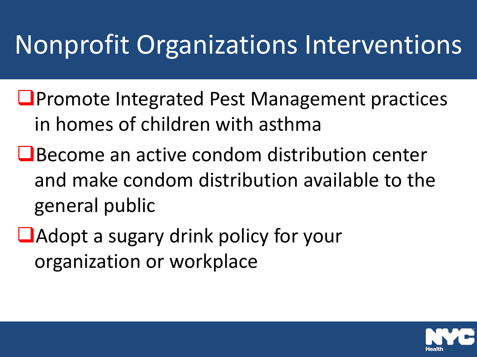## Nonprofit Organizations Interventions

- **L**Promote Integrated Pest Management practices in homes of children with asthma
- **O** Become an active condom distribution center and make condom distribution available to the general public
- **Adopt a sugary drink policy for your** organization or workplace